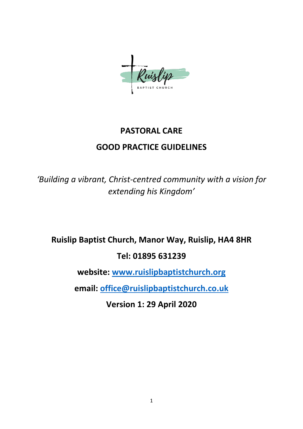

# **PASTORAL CARE GOOD PRACTICE GUIDELINES**

*'Building a vibrant, Christ-centred community with a vision for extending his Kingdom'*

**Ruislip Baptist Church, Manor Way, Ruislip, HA4 8HR**

### **Tel: 01895 631239**

**website: [www.ruislipbaptistchurch.org](http://www.ruislipbaptistchurch.org/)**

**email: [office@ruislipbaptistchurch.co.uk](mailto:office@ruislipbaptistchurch.co.uk)**

**Version 1: 29 April 2020**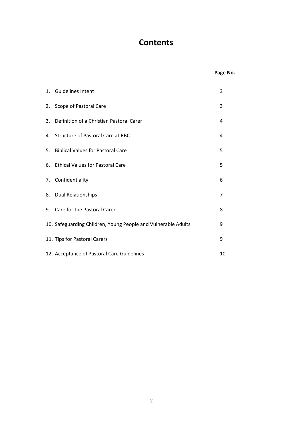## **Contents**

### **Page No.**

| 1. Guidelines Intent                                          | 3  |
|---------------------------------------------------------------|----|
| 2. Scope of Pastoral Care                                     | 3  |
| 3. Definition of a Christian Pastoral Carer                   | 4  |
| 4. Structure of Pastoral Care at RBC                          | 4  |
| 5. Biblical Values for Pastoral Care                          | 5  |
| 6. Ethical Values for Pastoral Care                           | 5  |
| 7. Confidentiality                                            | 6  |
| 8. Dual Relationships                                         | 7  |
| 9. Care for the Pastoral Carer                                | 8  |
| 10. Safeguarding Children, Young People and Vulnerable Adults | 9  |
| 11. Tips for Pastoral Carers                                  | 9  |
| 12. Acceptance of Pastoral Care Guidelines                    | 10 |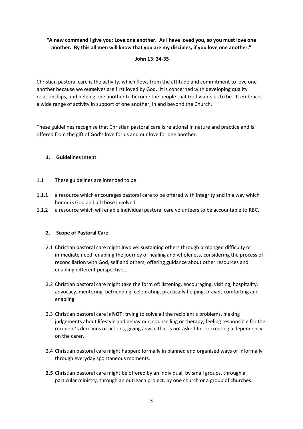#### **"A new command I give you: Love one another. As I have loved you, so you must love one another. By this all men will know that you are my disciples, if you love one another."**

#### **John 13: 34-35**

Christian pastoral care is the activity, which flows from the attitude and commitment to love one another because we ourselves are first loved by God. It is concerned with developing quality relationships, and helping one another to become the people that God wants us to be. It embraces a wide range of activity in support of one another, in and beyond the Church.

These guidelines recognise that Christian pastoral care is relational in nature and practice and is offered from the gift of God's love for us and our love for one another.

#### **1. Guidelines Intent**

- 1.1 These guidelines are intended to be:
- 1.1.1 a resource which encourages pastoral care to be offered with integrity and in a way which honours God and all those involved.
- 1.1.2 a resource which will enable individual pastoral care volunteers to be accountable to RBC.

#### **2. Scope of Pastoral Care**

- 2.1 Christian pastoral care might involve: sustaining others through prolonged difficulty or immediate need, enabling the journey of healing and wholeness, considering the process of reconciliation with God, self and others, offering guidance about other resources and enabling different perspectives.
- 2.2 Christian pastoral care might take the form of: listening, encouraging, visiting, hospitality, advocacy, mentoring, befriending, celebrating, practically helping, prayer, comforting and enabling.
- 2.3 Christian pastoral care **is NOT**: trying to solve all the recipient's problems, making judgements about lifestyle and behaviour, counselling or therapy, feeling responsible for the recipient's decisions or actions, giving advice that is not asked for or creating a dependency on the carer.
- 2.4 Christian pastoral care might happen: formally in planned and organised ways or informally through everyday spontaneous moments.
- **2.5** Christian pastoral care might be offered by an individual, by small groups, through a particular ministry, through an outreach project, by one church or a group of churches.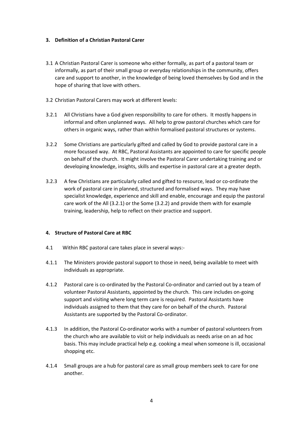#### **3. Definition of a Christian Pastoral Carer**

- 3.1 A Christian Pastoral Carer is someone who either formally, as part of a pastoral team or informally, as part of their small group or everyday relationships in the community, offers care and support to another, in the knowledge of being loved themselves by God and in the hope of sharing that love with others.
- 3.2 Christian Pastoral Carers may work at different levels:
- 3.2.1 All Christians have a God given responsibility to care for others. It mostly happens in informal and often unplanned ways. All help to grow pastoral churches which care for others in organic ways, rather than within formalised pastoral structures or systems.
- 3.2.2 Some Christians are particularly gifted and called by God to provide pastoral care in a more focussed way. At RBC, Pastoral Assistants are appointed to care for specific people on behalf of the church. It might involve the Pastoral Carer undertaking training and or developing knowledge, insights, skills and expertise in pastoral care at a greater depth.
- 3.2.3 A few Christians are particularly called and gifted to resource, lead or co-ordinate the work of pastoral care in planned, structured and formalised ways. They may have specialist knowledge, experience and skill and enable, encourage and equip the pastoral care work of the All (3.2.1) or the Some (3.2.2) and provide them with for example training, leadership, help to reflect on their practice and support.

#### **4. Structure of Pastoral Care at RBC**

- 4.1 Within RBC pastoral care takes place in several ways:-
- 4.1.1 The Ministers provide pastoral support to those in need, being available to meet with individuals as appropriate.
- 4.1.2 Pastoral care is co-ordinated by the Pastoral Co-ordinator and carried out by a team of volunteer Pastoral Assistants, appointed by the church. This care includes on-going support and visiting where long term care is required. Pastoral Assistants have individuals assigned to them that they care for on behalf of the church. Pastoral Assistants are supported by the Pastoral Co-ordinator.
- 4.1.3 In addition, the Pastoral Co-ordinator works with a number of pastoral volunteers from the church who are available to visit or help individuals as needs arise on an ad hoc basis. This may include practical help e.g. cooking a meal when someone is ill, occasional shopping etc.
- 4.1.4 Small groups are a hub for pastoral care as small group members seek to care for one another.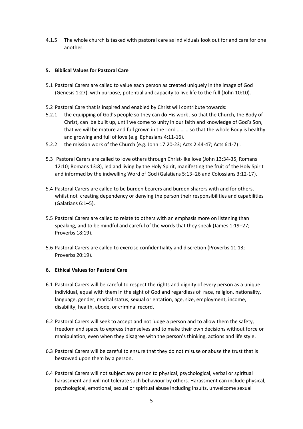4.1.5 The whole church is tasked with pastoral care as individuals look out for and care for one another.

#### **5. Biblical Values for Pastoral Care**

- 5.1 Pastoral Carers are called to value each person as created uniquely in the image of God (Genesis 1:27), with purpose, potential and capacity to live life to the full (John 10:10).
- 5.2 Pastoral Care that is inspired and enabled by Christ will contribute towards:
- 5.2.1 the equipping of God's people so they can do His work , so that the Church, the Body of Christ, can be built up, until we come to unity in our faith and knowledge of God's Son, that we will be mature and full grown in the Lord ……… so that the whole Body is healthy and growing and full of love (e.g. Ephesians 4:11-16).
- 5.2.2 the mission work of the Church (e.g. John 17:20-23; Acts 2:44-47; Acts 6:1-7) .
- 5.3 Pastoral Carers are called to love others through Christ-like love (John 13:34-35, Romans 12:10; Romans 13:8), led and living by the Holy Spirit, manifesting the fruit of the Holy Spirit and informed by the indwelling Word of God (Galatians 5:13–26 and Colossians 3:12-17).
- 5.4 Pastoral Carers are called to be burden bearers and burden sharers with and for others, whilst not creating dependency or denying the person their responsibilities and capabilities (Galatians 6:1–5).
- 5.5 Pastoral Carers are called to relate to others with an emphasis more on listening than speaking, and to be mindful and careful of the words that they speak (James 1:19–27; Proverbs 18:19).
- 5.6 Pastoral Carers are called to exercise confidentiality and discretion (Proverbs 11:13; Proverbs 20:19).

#### **6. Ethical Values for Pastoral Care**

- 6.1 Pastoral Carers will be careful to respect the rights and dignity of every person as a unique individual, equal with them in the sight of God and regardless of race, religion, nationality, language, gender, marital status, sexual orientation, age, size, employment, income, disability, health, abode, or criminal record.
- 6.2 Pastoral Carers will seek to accept and not judge a person and to allow them the safety, freedom and space to express themselves and to make their own decisions without force or manipulation, even when they disagree with the person's thinking, actions and life style.
- 6.3 Pastoral Carers will be careful to ensure that they do not misuse or abuse the trust that is bestowed upon them by a person.
- 6.4 Pastoral Carers will not subject any person to physical, psychological, verbal or spiritual harassment and will not tolerate such behaviour by others. Harassment can include physical, psychological, emotional, sexual or spiritual abuse including insults, unwelcome sexual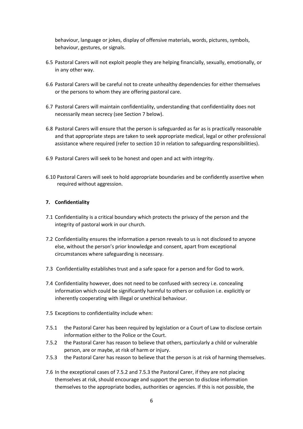behaviour, language or jokes, display of offensive materials, words, pictures, symbols, behaviour, gestures, or signals.

- 6.5 Pastoral Carers will not exploit people they are helping financially, sexually, emotionally, or in any other way.
- 6.6 Pastoral Carers will be careful not to create unhealthy dependencies for either themselves or the persons to whom they are offering pastoral care.
- 6.7 Pastoral Carers will maintain confidentiality, understanding that confidentiality does not necessarily mean secrecy (see Section 7 below).
- 6.8 Pastoral Carers will ensure that the person is safeguarded as far as is practically reasonable and that appropriate steps are taken to seek appropriate medical, legal or other professional assistance where required (refer to section 10 in relation to safeguarding responsibilities).
- 6.9 Pastoral Carers will seek to be honest and open and act with integrity.
- 6.10 Pastoral Carers will seek to hold appropriate boundaries and be confidently assertive when required without aggression.

#### **7. Confidentiality**

- 7.1 Confidentiality is a critical boundary which protects the privacy of the person and the integrity of pastoral work in our church.
- 7.2 Confidentiality ensures the information a person reveals to us is not disclosed to anyone else, without the person's prior knowledge and consent, apart from exceptional circumstances where safeguarding is necessary.
- 7.3 Confidentiality establishes trust and a safe space for a person and for God to work.
- 7.4 Confidentiality however, does not need to be confused with secrecy i.e. concealing information which could be significantly harmful to others or collusion i.e. explicitly or inherently cooperating with illegal or unethical behaviour.
- 7.5 Exceptions to confidentiality include when:
- 7.5.1 the Pastoral Carer has been required by legislation or a Court of Law to disclose certain information either to the Police or the Court.
- 7.5.2 the Pastoral Carer has reason to believe that others, particularly a child or vulnerable person, are or maybe, at risk of harm or injury.
- 7.5.3 the Pastoral Carer has reason to believe that the person is at risk of harming themselves.
- 7.6 In the exceptional cases of 7.5.2 and 7.5.3 the Pastoral Carer, if they are not placing themselves at risk, should encourage and support the person to disclose information themselves to the appropriate bodies, authorities or agencies. If this is not possible, the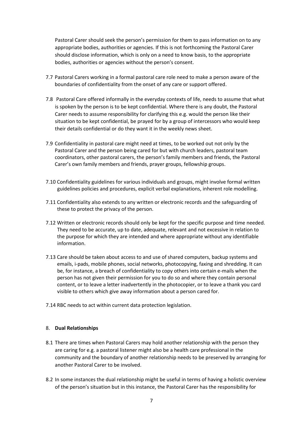Pastoral Carer should seek the person's permission for them to pass information on to any appropriate bodies, authorities or agencies. If this is not forthcoming the Pastoral Carer should disclose information, which is only on a need to know basis, to the appropriate bodies, authorities or agencies without the person's consent.

- 7.7 Pastoral Carers working in a formal pastoral care role need to make a person aware of the boundaries of confidentiality from the onset of any care or support offered.
- 7.8 Pastoral Care offered informally in the everyday contexts of life, needs to assume that what is spoken by the person is to be kept confidential. Where there is any doubt, the Pastoral Carer needs to assume responsibility for clarifying this e.g. would the person like their situation to be kept confidential, be prayed for by a group of intercessors who would keep their details confidential or do they want it in the weekly news sheet.
- 7.9 Confidentiality in pastoral care might need at times, to be worked out not only by the Pastoral Carer and the person being cared for but with church leaders, pastoral team coordinators, other pastoral carers, the person's family members and friends, the Pastoral Carer's own family members and friends, prayer groups, fellowship groups.
- 7.10 Confidentiality guidelines for various individuals and groups, might involve formal written guidelines policies and procedures, explicit verbal explanations, inherent role modelling.
- 7.11 Confidentiality also extends to any written or electronic records and the safeguarding of these to protect the privacy of the person.
- 7.12 Written or electronic records should only be kept for the specific purpose and time needed. They need to be accurate, up to date, adequate, relevant and not excessive in relation to the purpose for which they are intended and where appropriate without any identifiable information.
- 7.13 Care should be taken about access to and use of shared computers, backup systems and emails, i-pads, mobile phones, social networks, photocopying, faxing and shredding. It can be, for instance, a breach of confidentiality to copy others into certain e-mails when the person has not given their permission for you to do so and where they contain personal content, or to leave a letter inadvertently in the photocopier, or to leave a thank you card visible to others which give away information about a person cared for.
- 7.14 RBC needs to act within current data protection legislation.

#### 8. **Dual Relationships**

- 8.1 There are times when Pastoral Carers may hold another relationship with the person they are caring for e.g. a pastoral listener might also be a health care professional in the community and the boundary of another relationship needs to be preserved by arranging for another Pastoral Carer to be involved.
- 8.2 In some instances the dual relationship might be useful in terms of having a holistic overview of the person's situation but in this instance, the Pastoral Carer has the responsibility for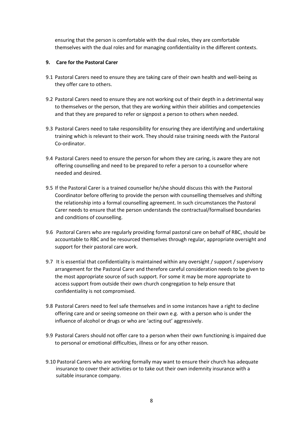ensuring that the person is comfortable with the dual roles, they are comfortable themselves with the dual roles and for managing confidentiality in the different contexts.

#### **9. Care for the Pastoral Carer**

- 9.1 Pastoral Carers need to ensure they are taking care of their own health and well-being as they offer care to others.
- 9.2 Pastoral Carers need to ensure they are not working out of their depth in a detrimental way to themselves or the person, that they are working within their abilities and competencies and that they are prepared to refer or signpost a person to others when needed.
- 9.3 Pastoral Carers need to take responsibility for ensuring they are identifying and undertaking training which is relevant to their work. They should raise training needs with the Pastoral Co-ordinator.
- 9.4 Pastoral Carers need to ensure the person for whom they are caring, is aware they are not offering counselling and need to be prepared to refer a person to a counsellor where needed and desired.
- 9.5 If the Pastoral Carer is a trained counsellor he/she should discuss this with the Pastoral Coordinator before offering to provide the person with counselling themselves and shifting the relationship into a formal counselling agreement. In such circumstances the Pastoral Carer needs to ensure that the person understands the contractual/formalised boundaries and conditions of counselling.
- 9.6 Pastoral Carers who are regularly providing formal pastoral care on behalf of RBC, should be accountable to RBC and be resourced themselves through regular, appropriate oversight and support for their pastoral care work.
- 9.7 It is essential that confidentiality is maintained within any oversight / support / supervisory arrangement for the Pastoral Carer and therefore careful consideration needs to be given to the most appropriate source of such support. For some it may be more appropriate to access support from outside their own church congregation to help ensure that confidentiality is not compromised.
- 9.8 Pastoral Carers need to feel safe themselves and in some instances have a right to decline offering care and or seeing someone on their own e.g. with a person who is under the influence of alcohol or drugs or who are 'acting out' aggressively.
- 9.9 Pastoral Carers should not offer care to a person when their own functioning is impaired due to personal or emotional difficulties, illness or for any other reason.
- 9.10 Pastoral Carers who are working formally may want to ensure their church has adequate insurance to cover their activities or to take out their own indemnity insurance with a suitable insurance company.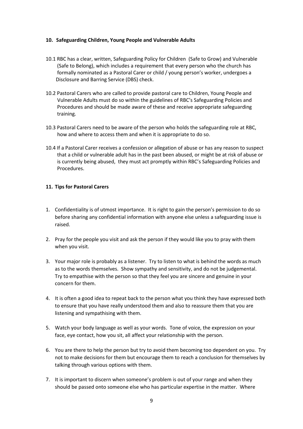#### **10. Safeguarding Children, Young People and Vulnerable Adults**

- 10.1 RBC has a clear, written, Safeguarding Policy for Children (Safe to Grow) and Vulnerable (Safe to Belong), which includes a requirement that every person who the church has formally nominated as a Pastoral Carer or child / young person's worker, undergoes a Disclosure and Barring Service (DBS) check.
- 10.2 Pastoral Carers who are called to provide pastoral care to Children, Young People and Vulnerable Adults must do so within the guidelines of RBC's Safeguarding Policies and Procedures and should be made aware of these and receive appropriate safeguarding training.
- 10.3 Pastoral Carers need to be aware of the person who holds the safeguarding role at RBC, how and where to access them and when it is appropriate to do so.
- 10.4 If a Pastoral Carer receives a confession or allegation of abuse or has any reason to suspect that a child or vulnerable adult has in the past been abused, or might be at risk of abuse or is currently being abused, they must act promptly within RBC's Safeguarding Policies and Procedures.

#### **11. Tips for Pastoral Carers**

- 1. Confidentiality is of utmost importance. It is right to gain the person's permission to do so before sharing any confidential information with anyone else unless a safeguarding issue is raised.
- 2. Pray for the people you visit and ask the person if they would like you to pray with them when you visit.
- 3. Your major role is probably as a listener. Try to listen to what is behind the words as much as to the words themselves. Show sympathy and sensitivity, and do not be judgemental. Try to empathise with the person so that they feel you are sincere and genuine in your concern for them.
- 4. It is often a good idea to repeat back to the person what you think they have expressed both to ensure that you have really understood them and also to reassure them that you are listening and sympathising with them.
- 5. Watch your body language as well as your words. Tone of voice, the expression on your face, eye contact, how you sit, all affect your relationship with the person.
- 6. You are there to help the person but try to avoid them becoming too dependent on you. Try not to make decisions for them but encourage them to reach a conclusion for themselves by talking through various options with them.
- 7. It is important to discern when someone's problem is out of your range and when they should be passed onto someone else who has particular expertise in the matter. Where